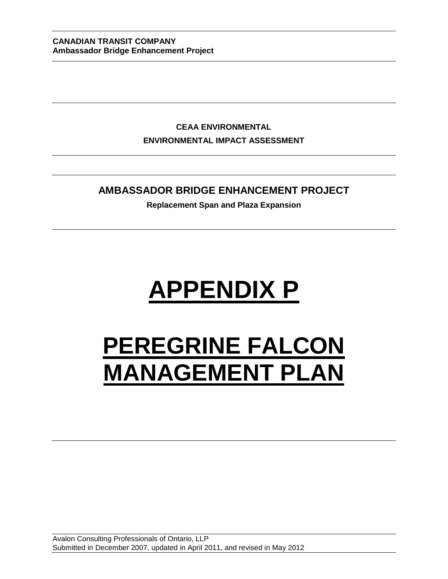**CEAA ENVIRONMENTAL ENVIRONMENTAL IMPACT ASSESSMENT**

# **AMBASSADOR BRIDGE ENHANCEMENT PROJECT**

**Replacement Span and Plaza Expansion**

# **APPENDIX P**

# **PEREGRINE FALCON MANAGEMENT PLAN**

Avalon Consulting Professionals of Ontario, LLP Submitted in December 2007, updated in April 2011, and revised in May 2012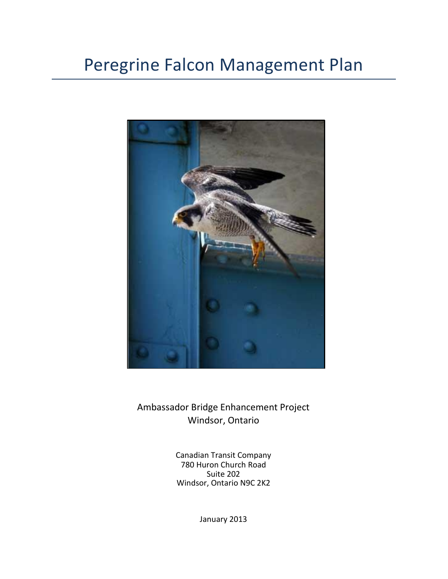# Peregrine Falcon Management Plan



Ambassador Bridge Enhancement Project Windsor, Ontario

> Canadian Transit Company 780 Huron Church Road Suite 202 Windsor, Ontario N9C 2K2

> > January 2013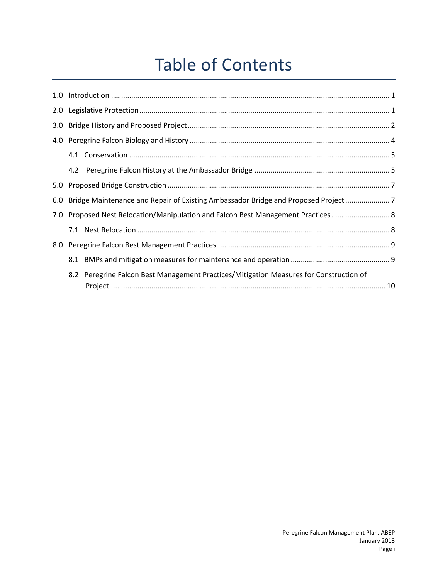# Table of Contents

| 3.0 <sub>1</sub> |                                                                                        |  |
|------------------|----------------------------------------------------------------------------------------|--|
| 4.0              |                                                                                        |  |
|                  |                                                                                        |  |
|                  |                                                                                        |  |
|                  |                                                                                        |  |
| 6.0              | Bridge Maintenance and Repair of Existing Ambassador Bridge and Proposed Project       |  |
| 7.0              | Proposed Nest Relocation/Manipulation and Falcon Best Management Practices 8           |  |
|                  |                                                                                        |  |
|                  |                                                                                        |  |
|                  |                                                                                        |  |
|                  | 8.2 Peregrine Falcon Best Management Practices/Mitigation Measures for Construction of |  |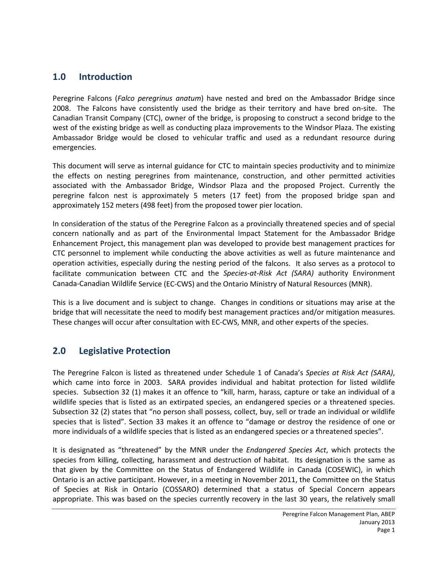#### <span id="page-3-0"></span>**1.0 Introduction**

Peregrine Falcons (*Falco peregrinus anatum*) have nested and bred on the Ambassador Bridge since 2008. The Falcons have consistently used the bridge as their territory and have bred on-site. The Canadian Transit Company (CTC), owner of the bridge, is proposing to construct a second bridge to the west of the existing bridge as well as conducting plaza improvements to the Windsor Plaza. The existing Ambassador Bridge would be closed to vehicular traffic and used as a redundant resource during emergencies.

This document will serve as internal guidance for CTC to maintain species productivity and to minimize the effects on nesting peregrines from maintenance, construction, and other permitted activities associated with the Ambassador Bridge, Windsor Plaza and the proposed Project. Currently the peregrine falcon nest is approximately 5 meters (17 feet) from the proposed bridge span and approximately 152 meters (498 feet) from the proposed tower pier location.

In consideration of the status of the Peregrine Falcon as a provincially threatened species and of special concern nationally and as part of the Environmental Impact Statement for the Ambassador Bridge Enhancement Project, this management plan was developed to provide best management practices for CTC personnel to implement while conducting the above activities as well as future maintenance and operation activities, especially during the nesting period of the falcons. It also serves as a protocol to facilitate communication between CTC and the *Species-at-Risk Act (SARA)* authority Environment Canada-Canadian Wildlife Service (EC-CWS) and the Ontario Ministry of Natural Resources (MNR).

This is a live document and is subject to change. Changes in conditions or situations may arise at the bridge that will necessitate the need to modify best management practices and/or mitigation measures. These changes will occur after consultation with EC-CWS, MNR, and other experts of the species.

## <span id="page-3-1"></span>**2.0 Legislative Protection**

The Peregrine Falcon is listed as threatened under Schedule 1 of Canada's *Species at Risk Act (SARA)*, which came into force in 2003. SARA provides individual and habitat protection for listed wildlife species. Subsection 32 (1) makes it an offence to "kill, harm, harass, capture or take an individual of a wildlife species that is listed as an extirpated species, an endangered species or a threatened species. Subsection 32 (2) states that "no person shall possess, collect, buy, sell or trade an individual or wildlife species that is listed". Section 33 makes it an offence to "damage or destroy the residence of one or more individuals of a wildlife species that is listed as an endangered species or a threatened species".

It is designated as "threatened" by the MNR under the *Endangered Species Act*, which protects the species from killing, collecting, harassment and destruction of habitat. Its designation is the same as that given by the Committee on the Status of Endangered Wildlife in Canada (COSEWIC), in which Ontario is an active participant. However, in a meeting in November 2011, the Committee on the Status of Species at Risk in Ontario (COSSARO) determined that a status of Special Concern appears appropriate. This was based on the species currently recovery in the last 30 years, the relatively small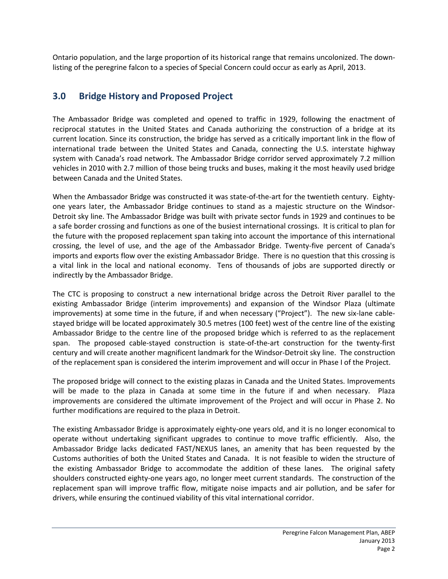<span id="page-4-0"></span>Ontario population, and the large proportion of its historical range that remains uncolonized. The downlisting of the peregrine falcon to a species of Special Concern could occur as early as April, 2013.

### **3.0 Bridge History and Proposed Project**

The Ambassador Bridge was completed and opened to traffic in 1929, following the enactment of reciprocal statutes in the United States and Canada authorizing the construction of a bridge at its current location. Since its construction, the bridge has served as a critically important link in the flow of international trade between the United States and Canada, connecting the U.S. interstate highway system with Canada's road network. The Ambassador Bridge corridor served approximately 7.2 million vehicles in 2010 with 2.7 million of those being trucks and buses, making it the most heavily used bridge between Canada and the United States.

When the Ambassador Bridge was constructed it was state-of-the-art for the twentieth century. Eightyone years later, the Ambassador Bridge continues to stand as a majestic structure on the Windsor-Detroit sky line. The Ambassador Bridge was built with private sector funds in 1929 and continues to be a safe border crossing and functions as one of the busiest international crossings. It is critical to plan for the future with the proposed replacement span taking into account the importance of this international crossing, the level of use, and the age of the Ambassador Bridge. Twenty-five percent of Canada's imports and exports flow over the existing Ambassador Bridge. There is no question that this crossing is a vital link in the local and national economy. Tens of thousands of jobs are supported directly or indirectly by the Ambassador Bridge.

The CTC is proposing to construct a new international bridge across the Detroit River parallel to the existing Ambassador Bridge (interim improvements) and expansion of the Windsor Plaza (ultimate improvements) at some time in the future, if and when necessary ("Project"). The new six-lane cablestayed bridge will be located approximately 30.5 metres (100 feet) west of the centre line of the existing Ambassador Bridge to the centre line of the proposed bridge which is referred to as the replacement span. The proposed cable-stayed construction is state-of-the-art construction for the twenty-first century and will create another magnificent landmark for the Windsor-Detroit sky line. The construction of the replacement span is considered the interim improvement and will occur in Phase I of the Project.

The proposed bridge will connect to the existing plazas in Canada and the United States. Improvements will be made to the plaza in Canada at some time in the future if and when necessary. Plaza improvements are considered the ultimate improvement of the Project and will occur in Phase 2. No further modifications are required to the plaza in Detroit.

The existing Ambassador Bridge is approximately eighty-one years old, and it is no longer economical to operate without undertaking significant upgrades to continue to move traffic efficiently. Also, the Ambassador Bridge lacks dedicated FAST/NEXUS lanes, an amenity that has been requested by the Customs authorities of both the United States and Canada. It is not feasible to widen the structure of the existing Ambassador Bridge to accommodate the addition of these lanes. The original safety shoulders constructed eighty-one years ago, no longer meet current standards. The construction of the replacement span will improve traffic flow, mitigate noise impacts and air pollution, and be safer for drivers, while ensuring the continued viability of this vital international corridor.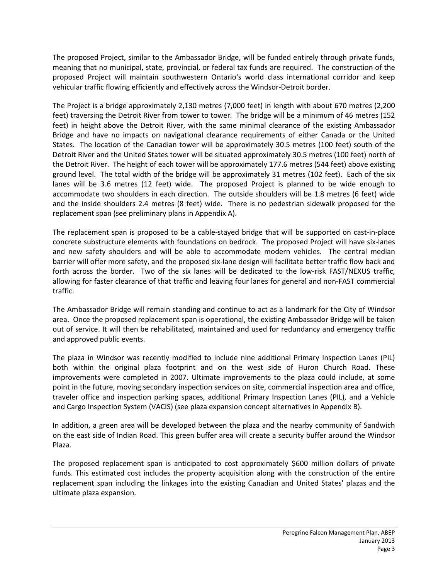The proposed Project, similar to the Ambassador Bridge, will be funded entirely through private funds, meaning that no municipal, state, provincial, or federal tax funds are required. The construction of the proposed Project will maintain southwestern Ontario's world class international corridor and keep vehicular traffic flowing efficiently and effectively across the Windsor-Detroit border.

The Project is a bridge approximately 2,130 metres (7,000 feet) in length with about 670 metres (2,200 feet) traversing the Detroit River from tower to tower. The bridge will be a minimum of 46 metres (152 feet) in height above the Detroit River, with the same minimal clearance of the existing Ambassador Bridge and have no impacts on navigational clearance requirements of either Canada or the United States. The location of the Canadian tower will be approximately 30.5 metres (100 feet) south of the Detroit River and the United States tower will be situated approximately 30.5 metres (100 feet) north of the Detroit River. The height of each tower will be approximately 177.6 metres (544 feet) above existing ground level. The total width of the bridge will be approximately 31 metres (102 feet). Each of the six lanes will be 3.6 metres (12 feet) wide. The proposed Project is planned to be wide enough to accommodate two shoulders in each direction. The outside shoulders will be 1.8 metres (6 feet) wide and the inside shoulders 2.4 metres (8 feet) wide. There is no pedestrian sidewalk proposed for the replacement span (see preliminary plans in Appendix A).

The replacement span is proposed to be a cable-stayed bridge that will be supported on cast-in-place concrete substructure elements with foundations on bedrock. The proposed Project will have six-lanes and new safety shoulders and will be able to accommodate modern vehicles. The central median barrier will offer more safety, and the proposed six-lane design will facilitate better traffic flow back and forth across the border. Two of the six lanes will be dedicated to the low-risk FAST/NEXUS traffic, allowing for faster clearance of that traffic and leaving four lanes for general and non-FAST commercial traffic.

The Ambassador Bridge will remain standing and continue to act as a landmark for the City of Windsor area. Once the proposed replacement span is operational, the existing Ambassador Bridge will be taken out of service. It will then be rehabilitated, maintained and used for redundancy and emergency traffic and approved public events.

The plaza in Windsor was recently modified to include nine additional Primary Inspection Lanes (PIL) both within the original plaza footprint and on the west side of Huron Church Road. These improvements were completed in 2007. Ultimate improvements to the plaza could include, at some point in the future, moving secondary inspection services on site, commercial inspection area and office, traveler office and inspection parking spaces, additional Primary Inspection Lanes (PIL), and a Vehicle and Cargo Inspection System (VACIS) (see plaza expansion concept alternatives in Appendix B).

In addition, a green area will be developed between the plaza and the nearby community of Sandwich on the east side of Indian Road. This green buffer area will create a security buffer around the Windsor Plaza.

The proposed replacement span is anticipated to cost approximately \$600 million dollars of private funds. This estimated cost includes the property acquisition along with the construction of the entire replacement span including the linkages into the existing Canadian and United States' plazas and the ultimate plaza expansion.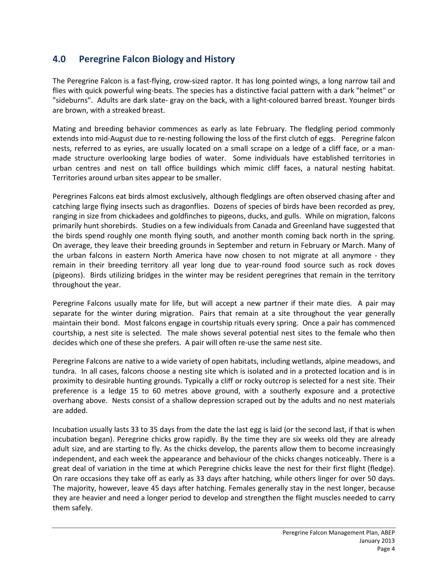# <span id="page-6-0"></span>**4.0 Peregrine Falcon Biology and History**

The Peregrine Falcon is a fast-flying, crow-sized raptor. It has long pointed wings, a long narrow tail and flies with quick powerful wing-beats. The species has a distinctive facial pattern with a dark "helmet" or "sideburns". Adults are dark slate- gray on the back, with a light-coloured barred breast. Younger birds are brown, with a streaked breast.

Mating and breeding behavior commences as early as late February. The fledgling period commonly extends into mid-August due to re-nesting following the loss of the first clutch of eggs. Peregrine falcon nests, referred to as eyries, are usually located on a small scrape on a ledge of a cliff face, or a manmade structure overlooking large bodies of water. Some individuals have established territories in urban centres and nest on tall office buildings which mimic cliff faces, a natural nesting habitat. Territories around urban sites appear to be smaller.

Peregrines Falcons eat birds almost exclusively, although fledglings are often observed chasing after and catching large flying insects such as dragonflies. Dozens of species of birds have been recorded as prey, ranging in size from chickadees and goldfinches to pigeons, ducks, and gulls. While on migration, falcons primarily hunt shorebirds. Studies on a few individuals from Canada and Greenland have suggested that the birds spend roughly one month flying south, and another month coming back north in the spring. On average, they leave their breeding grounds in September and return in February or March. Many of the urban falcons in eastern North America have now chosen to not migrate at all anymore - they remain in their breeding territory all year long due to year-round food source such as rock doves (pigeons). Birds utilizing bridges in the winter may be resident peregrines that remain in the territory throughout the year.

Peregrine Falcons usually mate for life, but will accept a new partner if their mate dies. A pair may separate for the winter during migration. Pairs that remain at a site throughout the year generally maintain their bond. Most falcons engage in courtship rituals every spring. Once a pair has commenced courtship, a nest site is selected. The male shows several potential nest sites to the female who then decides which one of these she prefers. A pair will often re-use the same nest site.

Peregrine Falcons are native to a wide variety of open habitats, including wetlands, alpine meadows, and tundra. In all cases, falcons choose a nesting site which is isolated and in a protected location and is in proximity to desirable hunting grounds. Typically a cliff or rocky outcrop is selected for a nest site. Their preference is a ledge 15 to 60 metres above ground, with a southerly exposure and a protective overhang above. Nests consist of a shallow depression scraped out by the adults and no nest materials are added.

Incubation usually lasts 33 to 35 days from the date the last egg is laid (or the second last, if that is when incubation began). Peregrine chicks grow rapidly. By the time they are six weeks old they are already adult size, and are starting to fly. As the chicks develop, the parents allow them to become increasingly independent, and each week the appearance and behaviour of the chicks changes noticeably. There is a great deal of variation in the time at which Peregrine chicks leave the nest for their first flight (fledge). On rare occasions they take off as early as 33 days after hatching, while others linger for over 50 days. The majority, however, leave 45 days after hatching. Females generally stay in the nest longer, because they are heavier and need a longer period to develop and strengthen the flight muscles needed to carry them safely.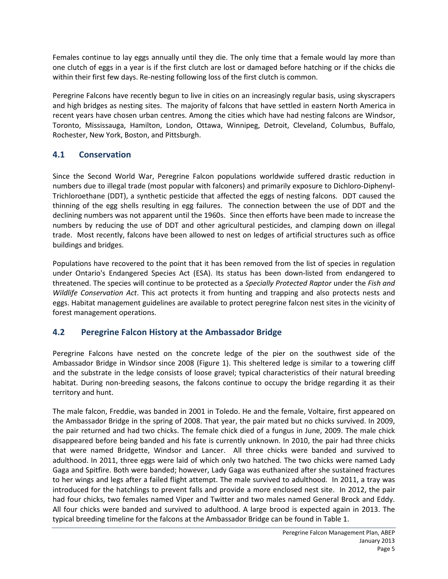Females continue to lay eggs annually until they die. The only time that a female would lay more than one clutch of eggs in a year is if the first clutch are lost or damaged before hatching or if the chicks die within their first few days. Re-nesting following loss of the first clutch is common.

Peregrine Falcons have recently begun to live in cities on an increasingly regular basis, using skyscrapers and high bridges as nesting sites. The majority of falcons that have settled in eastern North America in recent years have chosen urban centres. Among the cities which have had nesting falcons are Windsor, Toronto, Mississauga, Hamilton, London, Ottawa, Winnipeg, Detroit, Cleveland, Columbus, Buffalo, Rochester, New York, Boston, and Pittsburgh.

#### <span id="page-7-0"></span>**4.1 Conservation**

Since the Second World War, Peregrine Falcon populations worldwide suffered drastic reduction in numbers due to illegal trade (most popular with falconers) and primarily exposure to Dichloro-Diphenyl-Trichloroethane (DDT), a synthetic pesticide that affected the eggs of nesting falcons. DDT caused the thinning of the egg shells resulting in egg failures. The connection between the use of DDT and the declining numbers was not apparent until the 1960s. Since then efforts have been made to increase the numbers by reducing the use of DDT and other agricultural pesticides, and clamping down on illegal trade. Most recently, falcons have been allowed to nest on ledges of artificial structures such as office buildings and bridges.

Populations have recovered to the point that it has been removed from the list of species in regulation under Ontario's Endangered Species Act (ESA). Its status has been down-listed from endangered to threatened. The species will continue to be protected as a *Specially Protected Raptor* under the *Fish and Wildlife Conservation Act*. This act protects it from hunting and trapping and also protects nests and eggs. Habitat management guidelines are available to protect peregrine falcon nest sites in the vicinity of forest management operations.

## <span id="page-7-1"></span>**4.2 Peregrine Falcon History at the Ambassador Bridge**

Peregrine Falcons have nested on the concrete ledge of the pier on the southwest side of the Ambassador Bridge in Windsor since 2008 (Figure 1). This sheltered ledge is similar to a towering cliff and the substrate in the ledge consists of loose gravel; typical characteristics of their natural breeding habitat. During non-breeding seasons, the falcons continue to occupy the bridge regarding it as their territory and hunt.

The male falcon, Freddie, was banded in 2001 in Toledo. He and the female, Voltaire, first appeared on the Ambassador Bridge in the spring of 2008. That year, the pair mated but no chicks survived. In 2009, the pair returned and had two chicks. The female chick died of a fungus in June, 2009. The male chick disappeared before being banded and his fate is currently unknown. In 2010, the pair had three chicks that were named Bridgette, Windsor and Lancer. All three chicks were banded and survived to adulthood. In 2011, three eggs were laid of which only two hatched. The two chicks were named Lady Gaga and Spitfire. Both were banded; however, Lady Gaga was euthanized after she sustained fractures to her wings and legs after a failed flight attempt. The male survived to adulthood. In 2011, a tray was introduced for the hatchlings to prevent falls and provide a more enclosed nest site. In 2012, the pair had four chicks, two females named Viper and Twitter and two males named General Brock and Eddy. All four chicks were banded and survived to adulthood. A large brood is expected again in 2013. The typical breeding timeline for the falcons at the Ambassador Bridge can be found in Table 1.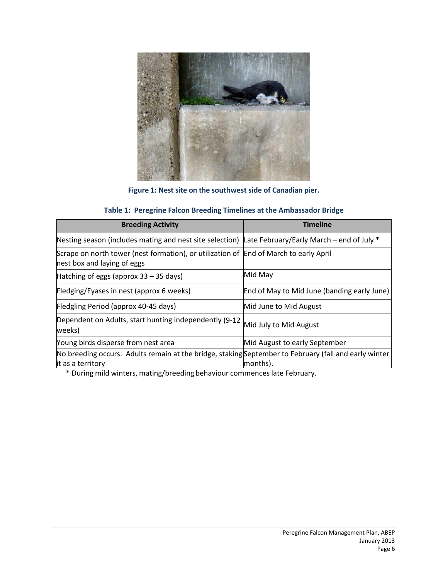

**Figure 1: Nest site on the southwest side of Canadian pier.**

#### **Table 1: Peregrine Falcon Breeding Timelines at the Ambassador Bridge**

| <b>Breeding Activity</b>                                                                                             | <b>Timeline</b>                             |  |
|----------------------------------------------------------------------------------------------------------------------|---------------------------------------------|--|
| Nesting season (includes mating and nest site selection) Late February/Early March – end of July $*$                 |                                             |  |
| Scrape on north tower (nest formation), or utilization of End of March to early April<br>nest box and laying of eggs |                                             |  |
| Hatching of eggs (approx $33 - 35$ days)                                                                             | Mid May                                     |  |
| Fledging/Eyases in nest (approx 6 weeks)                                                                             | End of May to Mid June (banding early June) |  |
| Fledgling Period (approx 40-45 days)                                                                                 | Mid June to Mid August                      |  |
| Dependent on Adults, start hunting independently (9-12<br>weeks)                                                     | Mid July to Mid August                      |  |
| Young birds disperse from nest area                                                                                  | Mid August to early September               |  |
| No breeding occurs. Adults remain at the bridge, staking September to February (fall and early winter                |                                             |  |
| it as a territory                                                                                                    | months).                                    |  |

<span id="page-8-0"></span>\* During mild winters, mating/breeding behaviour commenceslate February.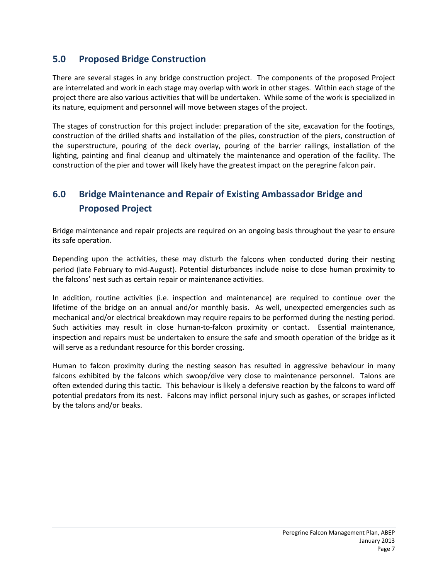# **5.0 Proposed Bridge Construction**

There are several stages in any bridge construction project. The components of the proposed Project are interrelated and work in each stage may overlap with work in other stages. Within each stage of the project there are also various activities that will be undertaken. While some of the work is specialized in its nature, equipment and personnel will move between stages of the project.

The stages of construction for this project include: preparation of the site, excavation for the footings, construction of the drilled shafts and installation of the piles, construction of the piers, construction of the superstructure, pouring of the deck overlay, pouring of the barrier railings, installation of the lighting, painting and final cleanup and ultimately the maintenance and operation of the facility. The construction of the pier and tower will likely have the greatest impact on the peregrine falcon pair.

# <span id="page-9-0"></span>**6.0 Bridge Maintenance and Repair of Existing Ambassador Bridge and Proposed Project**

Bridge maintenance and repair projects are required on an ongoing basis throughout the year to ensure its safe operation.

Depending upon the activities, these may disturb the falcons when conducted during their nesting period (late February to mid-August). Potential disturbances include noise to close human proximity to the falcons' nest such as certain repair or maintenance activities.

In addition, routine activities (i.e. inspection and maintenance) are required to continue over the lifetime of the bridge on an annual and/or monthly basis. As well, unexpected emergencies such as mechanical and/or electrical breakdown may require repairs to be performed during the nesting period. Such activities may result in close human-to-falcon proximity or contact. Essential maintenance, inspection and repairs must be undertaken to ensure the safe and smooth operation of the bridge as it will serve as a redundant resource for this border crossing.

Human to falcon proximity during the nesting season has resulted in aggressive behaviour in many falcons exhibited by the falcons which swoop/dive very close to maintenance personnel. Talons are often extended during this tactic. This behaviour is likely a defensive reaction by the falcons to ward off potential predators from its nest. Falcons may inflict personal injury such as gashes, or scrapes inflicted by the talons and/or beaks.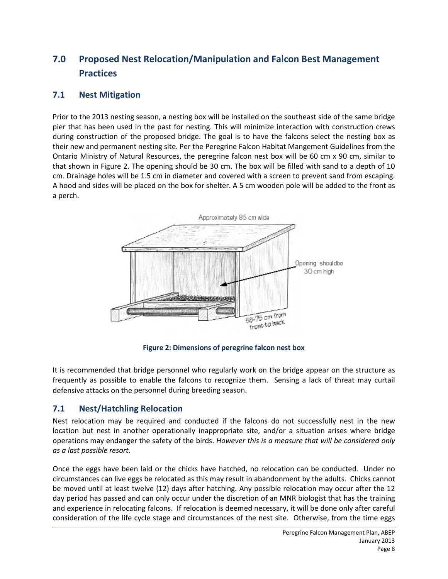# <span id="page-10-0"></span>**7.0 Proposed Nest Relocation/Manipulation and Falcon Best Management Practices**

#### <span id="page-10-1"></span>**7.1 Nest Mitigation**

Prior to the 2013 nesting season, a nesting box will be installed on the southeast side of the same bridge pier that has been used in the past for nesting. This will minimize interaction with construction crews during construction of the proposed bridge. The goal is to have the falcons select the nesting box as their new and permanent nesting site. Per the Peregrine Falcon Habitat Mangement Guidelines from the Ontario Ministry of Natural Resources, the peregrine falcon nest box will be 60 cm x 90 cm, similar to that shown in Figure 2. The opening should be 30 cm. The box will be filled with sand to a depth of 10 cm. Drainage holes will be 1.5 cm in diameter and covered with a screen to prevent sand from escaping. A hood and sides will be placed on the box for shelter. A 5 cm wooden pole will be added to the front as a perch.



**Figure 2: Dimensions of peregrine falcon nest box**

It is recommended that bridge personnel who regularly work on the bridge appear on the structure as frequently as possible to enable the falcons to recognize them. Sensing a lack of threat may curtail defensive attacks on the personnel during breeding season.

#### **7.1 Nest/Hatchling Relocation**

Nest relocation may be required and conducted if the falcons do not successfully nest in the new location but nest in another operationally inappropriate site, and/or a situation arises where bridge operations may endanger the safety of the birds. *However this is a measure that will be considered only as a last possible resort.*

Once the eggs have been laid or the chicks have hatched, no relocation can be conducted. Under no circumstances can live eggs be relocated as this may result in abandonment by the adults. Chicks cannot be moved until at least twelve (12) days after hatching. Any possible relocation may occur after the 12 day period has passed and can only occur under the discretion of an MNR biologist that has the training and experience in relocating falcons. If relocation is deemed necessary, it will be done only after careful consideration of the life cycle stage and circumstances of the nest site. Otherwise, from the time eggs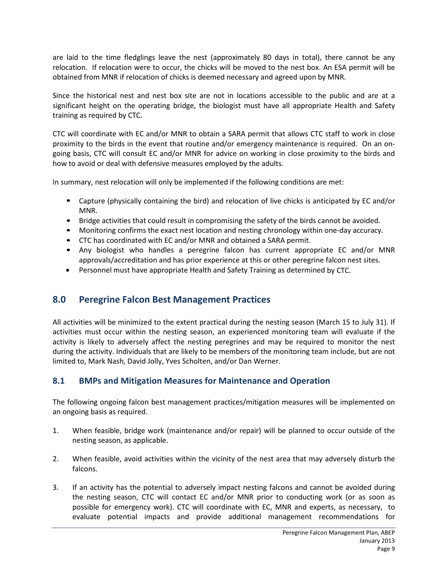are laid to the time fledglings leave the nest (approximately 80 days in total), there cannot be any relocation. If relocation were to occur, the chicks will be moved to the nest box. An ESA permit will be obtained from MNR if relocation of chicks is deemed necessary and agreed upon by MNR.

Since the historical nest and nest box site are not in locations accessible to the public and are at a significant height on the operating bridge, the biologist must have all appropriate Health and Safety training as required by CTC.

CTC will coordinate with EC and/or MNR to obtain a SARA permit that allows CTC staff to work in close proximity to the birds in the event that routine and/or emergency maintenance is required. On an ongoing basis, CTC will consult EC and/or MNR for advice on working in close proximity to the birds and how to avoid or deal with defensive measures employed by the adults.

In summary, nest relocation will only be implemented if the following conditions are met:

- Capture (physically containing the bird) and relocation of live chicks is anticipated by EC and/or MNR.
- Bridge activities that could result in compromising the safety of the birds cannot be avoided.
- Monitoring confirms the exact nest location and nesting chronology within one-day accuracy.
- CTC has coordinated with EC and/or MNR and obtained a SARA permit.
- Any biologist who handles a peregrine falcon has current appropriate EC and/or MNR approvals/accreditation and has prior experience at this or other peregrine falcon nest sites.
- Personnel must have appropriate Health and Safety Training as determined by CTC.

## <span id="page-11-0"></span>**8.0 Peregrine Falcon Best Management Practices**

All activities will be minimized to the extent practical during the nesting season (March 15 to July 31). If activities must occur within the nesting season, an experienced monitoring team will evaluate if the activity is likely to adversely affect the nesting peregrines and may be required to monitor the nest during the activity. Individuals that are likely to be members of the monitoring team include, but are not limited to, Mark Nash, David Jolly, Yves Scholten, and/or Dan Werner.

#### <span id="page-11-1"></span>**8.1 BMPs and Mitigation Measures for Maintenance and Operation**

The following ongoing falcon best management practices/mitigation measures will be implemented on an ongoing basis as required.

- 1. When feasible, bridge work (maintenance and/or repair) will be planned to occur outside of the nesting season, as applicable.
- 2. When feasible, avoid activities within the vicinity of the nest area that may adversely disturb the falcons.
- 3. If an activity has the potential to adversely impact nesting falcons and cannot be avoided during the nesting season, CTC will contact EC and/or MNR prior to conducting work (or as soon as possible for emergency work). CTC will coordinate with EC, MNR and experts, as necessary, to evaluate potential impacts and provide additional management recommendations for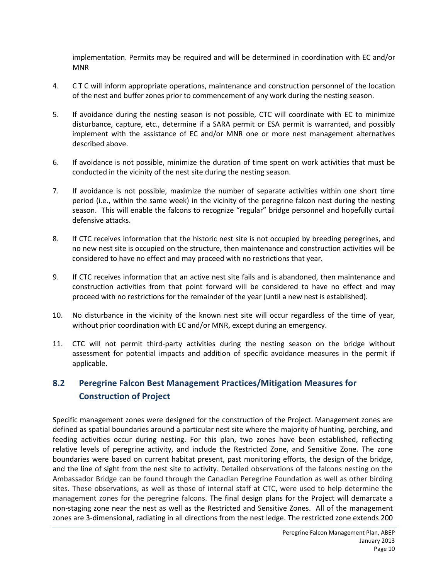implementation. Permits may be required and will be determined in coordination with EC and/or MNR

- 4. C T C will inform appropriate operations, maintenance and construction personnel of the location of the nest and buffer zones prior to commencement of any work during the nesting season.
- 5. If avoidance during the nesting season is not possible, CTC will coordinate with EC to minimize disturbance, capture, etc., determine if a SARA permit or ESA permit is warranted, and possibly implement with the assistance of EC and/or MNR one or more nest management alternatives described above.
- 6. If avoidance is not possible, minimize the duration of time spent on work activities that must be conducted in the vicinity of the nest site during the nesting season.
- 7. If avoidance is not possible, maximize the number of separate activities within one short time period (i.e., within the same week) in the vicinity of the peregrine falcon nest during the nesting season. This will enable the falcons to recognize "regular" bridge personnel and hopefully curtail defensive attacks.
- 8. If CTC receives information that the historic nest site is not occupied by breeding peregrines, and no new nest site is occupied on the structure, then maintenance and construction activities will be considered to have no effect and may proceed with no restrictions that year.
- 9. If CTC receives information that an active nest site fails and is abandoned, then maintenance and construction activities from that point forward will be considered to have no effect and may proceed with no restrictions for the remainder of the year (until a new nest is established).
- 10. No disturbance in the vicinity of the known nest site will occur regardless of the time of year, without prior coordination with EC and/or MNR, except during an emergency.
- 11. CTC will not permit third-party activities during the nesting season on the bridge without assessment for potential impacts and addition of specific avoidance measures in the permit if applicable.

# <span id="page-12-0"></span>**8.2 Peregrine Falcon Best Management Practices/Mitigation Measures for Construction of Project**

Specific management zones were designed for the construction of the Project. Management zones are defined as spatial boundaries around a particular nest site where the majority of hunting, perching, and feeding activities occur during nesting. For this plan, two zones have been established, reflecting relative levels of peregrine activity, and include the Restricted Zone, and Sensitive Zone. The zone boundaries were based on current habitat present, past monitoring efforts, the design of the bridge, and the line of sight from the nest site to activity. Detailed observations of the falcons nesting on the Ambassador Bridge can be found through the Canadian Peregrine Foundation as well as other birding sites. These observations, as well as those of internal staff at CTC, were used to help determine the management zones for the peregrine falcons. The final design plans for the Project will demarcate a non-staging zone near the nest as well as the Restricted and Sensitive Zones. All of the management zones are 3-dimensional, radiating in all directions from the nest ledge. The restricted zone extends 200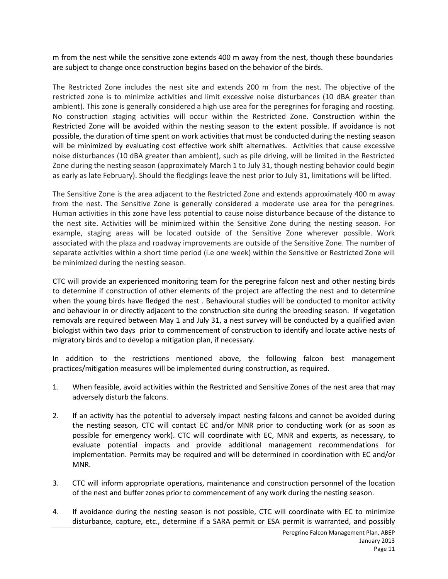m from the nest while the sensitive zone extends 400 m away from the nest, though these boundaries are subject to change once construction begins based on the behavior of the birds.

The Restricted Zone includes the nest site and extends 200 m from the nest. The objective of the restricted zone is to minimize activities and limit excessive noise disturbances (10 dBA greater than ambient). This zone is generally considered a high use area for the peregrines for foraging and roosting. No construction staging activities will occur within the Restricted Zone. Construction within the Restricted Zone will be avoided within the nesting season to the extent possible. If avoidance is not possible, the duration of time spent on work activities that must be conducted during the nesting season will be minimized by evaluating cost effective work shift alternatives. Activities that cause excessive noise disturbances (10 dBA greater than ambient), such as pile driving, will be limited in the Restricted Zone during the nesting season (approximately March 1 to July 31, though nesting behavior could begin as early as late February). Should the fledglings leave the nest prior to July 31, limitations will be lifted.

The Sensitive Zone is the area adjacent to the Restricted Zone and extends approximately 400 m away from the nest. The Sensitive Zone is generally considered a moderate use area for the peregrines. Human activities in this zone have less potential to cause noise disturbance because of the distance to the nest site. Activities will be minimized within the Sensitive Zone during the nesting season. For example, staging areas will be located outside of the Sensitive Zone wherever possible. Work associated with the plaza and roadway improvements are outside of the Sensitive Zone. The number of separate activities within a short time period (i.e one week) within the Sensitive or Restricted Zone will be minimized during the nesting season.

CTC will provide an experienced monitoring team for the peregrine falcon nest and other nesting birds to determine if construction of other elements of the project are affecting the nest and to determine when the young birds have fledged the nest . Behavioural studies will be conducted to monitor activity and behaviour in or directly adjacent to the construction site during the breeding season. If vegetation removals are required between May 1 and July 31, a nest survey will be conducted by a qualified avian biologist within two days prior to commencement of construction to identify and locate active nests of migratory birds and to develop a mitigation plan, if necessary.

In addition to the restrictions mentioned above, the following falcon best management practices/mitigation measures will be implemented during construction, as required.

- 1. When feasible, avoid activities within the Restricted and Sensitive Zones of the nest area that may adversely disturb the falcons.
- 2. If an activity has the potential to adversely impact nesting falcons and cannot be avoided during the nesting season, CTC will contact EC and/or MNR prior to conducting work (or as soon as possible for emergency work). CTC will coordinate with EC, MNR and experts, as necessary, to evaluate potential impacts and provide additional management recommendations for implementation. Permits may be required and will be determined in coordination with EC and/or MNR.
- 3. CTC will inform appropriate operations, maintenance and construction personnel of the location of the nest and buffer zones prior to commencement of any work during the nesting season.
- 4. If avoidance during the nesting season is not possible, CTC will coordinate with EC to minimize disturbance, capture, etc., determine if a SARA permit or ESA permit is warranted, and possibly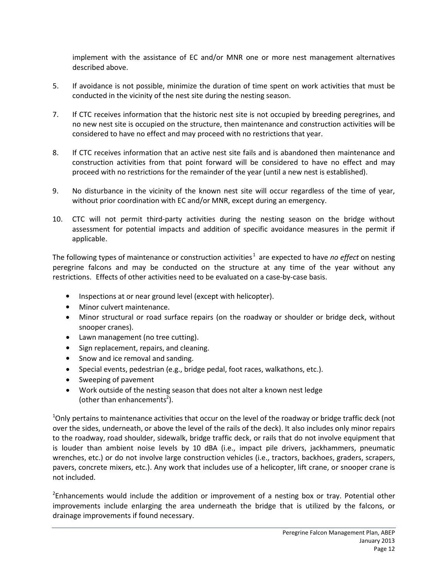implement with the assistance of EC and/or MNR one or more nest management alternatives described above.

- 5. If avoidance is not possible, minimize the duration of time spent on work activities that must be conducted in the vicinity of the nest site during the nesting season.
- 7. If CTC receives information that the historic nest site is not occupied by breeding peregrines, and no new nest site is occupied on the structure, then maintenance and construction activities will be considered to have no effect and may proceed with no restrictions that year.
- 8. If CTC receives information that an active nest site fails and is abandoned then maintenance and construction activities from that point forward will be considered to have no effect and may proceed with no restrictions for the remainder of the year (until a new nest is established).
- 9. No disturbance in the vicinity of the known nest site will occur regardless of the time of year, without prior coordination with EC and/or MNR, except during an emergency.
- 10. CTC will not permit third-party activities during the nesting season on the bridge without assessment for potential impacts and addition of specific avoidance measures in the permit if applicable.

The following types of maintenance or construction activities<sup>1</sup> are expected to have *no effect* on nesting peregrine falcons and may be conducted on the structure at any time of the year without any restrictions. Effects of other activities need to be evaluated on a case-by-case basis.

- Inspections at or near ground level (except with helicopter).
- Minor culvert maintenance.
- Minor structural or road surface repairs (on the roadway or shoulder or bridge deck, without snooper cranes).
- Lawn management (no tree cutting).
- Sign replacement, repairs, and cleaning.
- Snow and ice removal and sanding.
- Special events, pedestrian (e.g., bridge pedal, foot races, walkathons, etc.).
- Sweeping of pavement
- Work outside of the nesting season that does not alter a known nest ledge (other than enhancements<sup>2</sup>).

<sup>1</sup>Only pertains to maintenance activities that occur on the level of the roadway or bridge traffic deck (not over the sides, underneath, or above the level of the rails of the deck). It also includes only minor repairs to the roadway, road shoulder, sidewalk, bridge traffic deck, or rails that do not involve equipment that is louder than ambient noise levels by 10 dBA (i.e., impact pile drivers, jackhammers, pneumatic wrenches, etc.) or do not involve large construction vehicles (i.e., tractors, backhoes, graders, scrapers, pavers, concrete mixers, etc.). Any work that includes use of a helicopter, lift crane, or snooper crane is not included.

<sup>2</sup>Enhancements would include the addition or improvement of a nesting box or tray. Potential other improvements include enlarging the area underneath the bridge that is utilized by the falcons, or drainage improvements if found necessary.